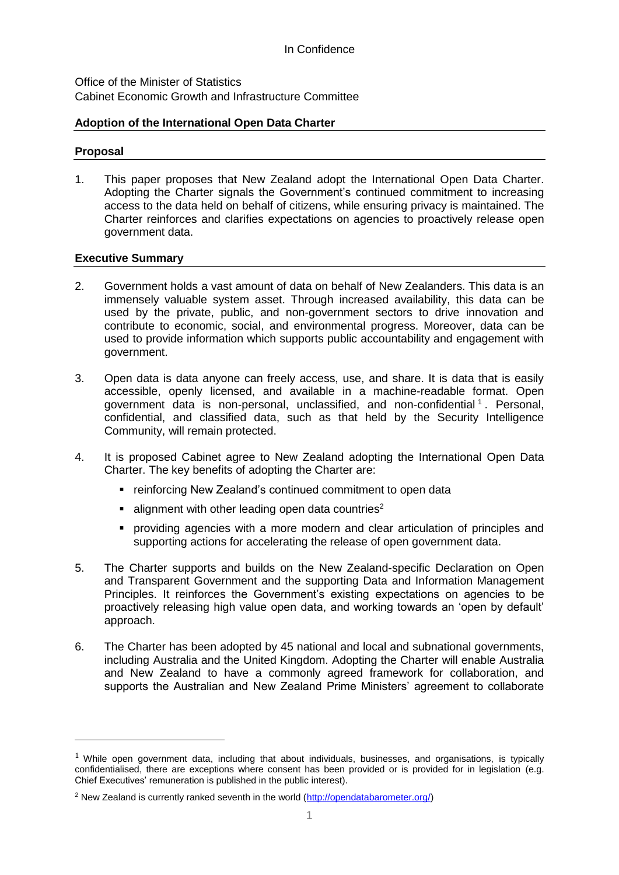Office of the Minister of Statistics Cabinet Economic Growth and Infrastructure Committee

## **Adoption of the International Open Data Charter**

### **Proposal**

-

1. This paper proposes that New Zealand adopt the International Open Data Charter. Adopting the Charter signals the Government's continued commitment to increasing access to the data held on behalf of citizens, while ensuring privacy is maintained. The Charter reinforces and clarifies expectations on agencies to proactively release open government data.

## **Executive Summary**

- 2. Government holds a vast amount of data on behalf of New Zealanders. This data is an immensely valuable system asset. Through increased availability, this data can be used by the private, public, and non-government sectors to drive innovation and contribute to economic, social, and environmental progress. Moreover, data can be used to provide information which supports public accountability and engagement with government.
- 3. Open data is data anyone can freely access, use, and share. It is data that is easily accessible, openly licensed, and available in a machine-readable format. Open government data is non-personal, unclassified, and non-confidential<sup>1</sup>. Personal, confidential, and classified data, such as that held by the Security Intelligence Community, will remain protected.
- 4. It is proposed Cabinet agree to New Zealand adopting the International Open Data Charter. The key benefits of adopting the Charter are:
	- **F** reinforcing New Zealand's continued commitment to open data
	- alignment with other leading open data countries<sup>2</sup>
	- providing agencies with a more modern and clear articulation of principles and supporting actions for accelerating the release of open government data.
- 5. The Charter supports and builds on the New Zealand-specific Declaration on Open and Transparent Government and the supporting Data and Information Management Principles. It reinforces the Government's existing expectations on agencies to be proactively releasing high value open data, and working towards an 'open by default' approach.
- 6. The Charter has been adopted by 45 national and local and subnational governments, including Australia and the United Kingdom. Adopting the Charter will enable Australia and New Zealand to have a commonly agreed framework for collaboration, and supports the Australian and New Zealand Prime Ministers' agreement to collaborate

 $1$  While open government data, including that about individuals, businesses, and organisations, is typically confidentialised, there are exceptions where consent has been provided or is provided for in legislation (e.g. Chief Executives' remuneration is published in the public interest).

<sup>&</sup>lt;sup>2</sup> New Zealand is currently ranked seventh in the world [\(http://opendatabarometer.org/\)](http://opendatabarometer.org/)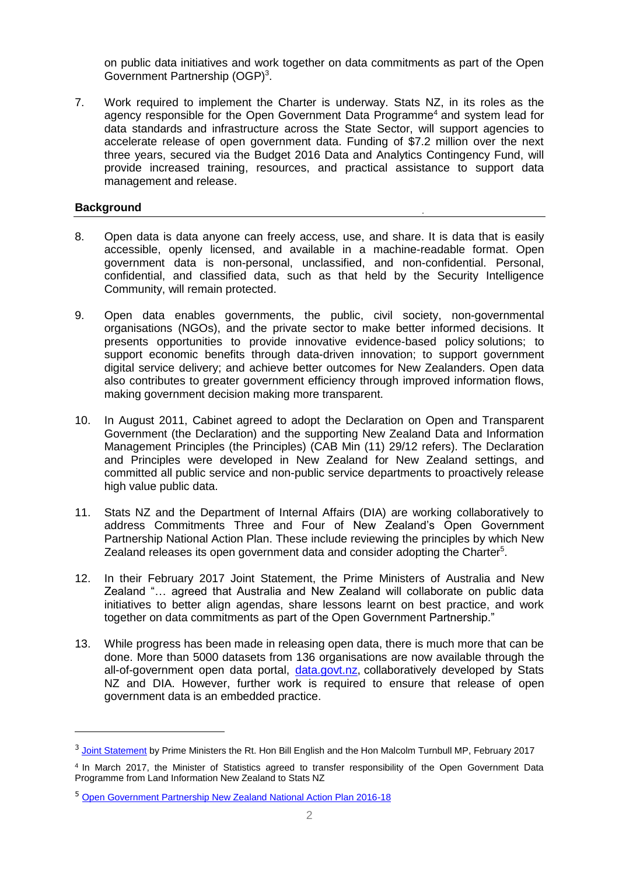on public data initiatives and work together on data commitments as part of the Open Government Partnership (OGP)<sup>3</sup>.

7. Work required to implement the Charter is underway. Stats NZ, in its roles as the agency responsible for the Open Government Data Programme<sup>4</sup> and system lead for data standards and infrastructure across the State Sector, will support agencies to accelerate release of open government data. Funding of \$7.2 million over the next three years, secured via the Budget 2016 Data and Analytics Contingency Fund, will provide increased training, resources, and practical assistance to support data management and release.

### **Background**

-

- 8. Open data is data anyone can freely access, use, and share. It is data that is easily accessible, openly licensed, and available in a machine-readable format. Open government data is non-personal, unclassified, and non-confidential. Personal, confidential, and classified data, such as that held by the Security Intelligence Community, will remain protected.
- 9. Open data enables governments, the public, civil society, non-governmental organisations (NGOs), and the private sector to make better informed decisions. It presents opportunities to provide innovative evidence-based policy solutions; to support economic benefits through data-driven innovation; to support government digital service delivery; and achieve better outcomes for New Zealanders. Open data also contributes to greater government efficiency through improved information flows, making government decision making more transparent.
- 10. In August 2011, Cabinet agreed to adopt the Declaration on Open and Transparent Government (the Declaration) and the supporting New Zealand Data and Information Management Principles (the Principles) (CAB Min (11) 29/12 refers). The Declaration and Principles were developed in New Zealand for New Zealand settings, and committed all public service and non-public service departments to proactively release high value public data.
- 11. Stats NZ and the Department of Internal Affairs (DIA) are working collaboratively to address Commitments Three and Four of New Zealand's Open Government Partnership National Action Plan. These include reviewing the principles by which New Zealand releases its open government data and consider adopting the Charter<sup>5</sup>.
- 12. In their February 2017 Joint Statement, the Prime Ministers of Australia and New Zealand "… agreed that Australia and New Zealand will collaborate on public data initiatives to better align agendas, share lessons learnt on best practice, and work together on data commitments as part of the Open Government Partnership."
- 13. While progress has been made in releasing open data, there is much more that can be done. More than 5000 datasets from 136 organisations are now available through the all-of-government open data portal, [data.govt.nz,](http://data.govt.nz/) collaboratively developed by Stats NZ and DIA. However, further work is required to ensure that release of open government data is an embedded practice.

<sup>&</sup>lt;sup>3</sup> [Joint Statement](https://www.beehive.govt.nz/sites/all/files/Joint%20Statement%20-%20Leaders%20Meeting%2017%20February%202017.pdf) by Prime Ministers the Rt. Hon Bill English and the Hon Malcolm Turnbull MP, February 2017

<sup>4</sup> In March 2017, the Minister of Statistics agreed to transfer responsibility of the Open Government Data Programme from Land Information New Zealand to Stats NZ

<sup>5</sup> Open [Government Partnership New Zealand National Action Plan 2016-18](http://ogp.org.nz/national-action-plan-2016-18/)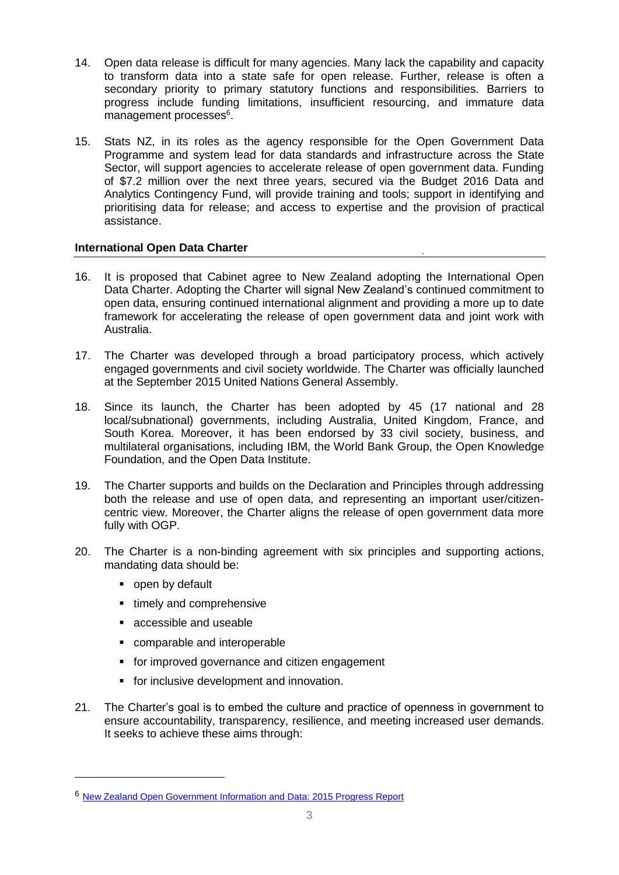- 14. Open data release is difficult for many agencies. Many lack the capability and capacity to transform data into a state safe for open release. Further, release is often a secondary priority to primary statutory functions and responsibilities. Barriers to progress include funding limitations, insufficient resourcing, and immature data management processes<sup>6</sup>.
- 15. Stats NZ, in its roles as the agency responsible for the Open Government Data Programme and system lead for data standards and infrastructure across the State Sector, will support agencies to accelerate release of open government data. Funding of \$7.2 million over the next three years, secured via the Budget 2016 Data and Analytics Contingency Fund, will provide training and tools; support in identifying and prioritising data for release; and access to expertise and the provision of practical assistance.

# **International Open Data Charter**

- 16. It is proposed that Cabinet agree to New Zealand adopting the International Open Data Charter. Adopting the Charter will signal New Zealand's continued commitment to open data, ensuring continued international alignment and providing a more up to date framework for accelerating the release of open government data and joint work with Australia.
- 17. The Charter was developed through a broad participatory process, which actively engaged governments and civil society worldwide. The Charter was officially launched at the September 2015 United Nations General Assembly.
- 18. Since its launch, the Charter has been adopted by 45 (17 national and 28 local/subnational) governments, including Australia, United Kingdom, France, and South Korea. Moreover, it has been endorsed by 33 civil society, business, and multilateral organisations, including IBM, the World Bank Group, the Open Knowledge Foundation, and the Open Data Institute.
- 19. The Charter supports and builds on the Declaration and Principles through addressing both the release and use of open data, and representing an important user/citizencentric view. Moreover, the Charter aligns the release of open government data more fully with OGP.
- 20. The Charter is a non-binding agreement with six principles and supporting actions, mandating data should be:
	- open by default

-

- timely and comprehensive
- accessible and useable
- comparable and interoperable
- **for improved governance and citizen engagement**
- **for inclusive development and innovation.**
- 21. The Charter's goal is to embed the culture and practice of openness in government to ensure accountability, transparency, resilience, and meeting increased user demands. It seeks to achieve these aims through:

<sup>6</sup> New [Zealand Open Government Information and Data: 2015 Progress Report](https://www.ict.govt.nz/assets/Uploads/Documents/2015-Report-on-adoption-of-the-Declaration.pdf)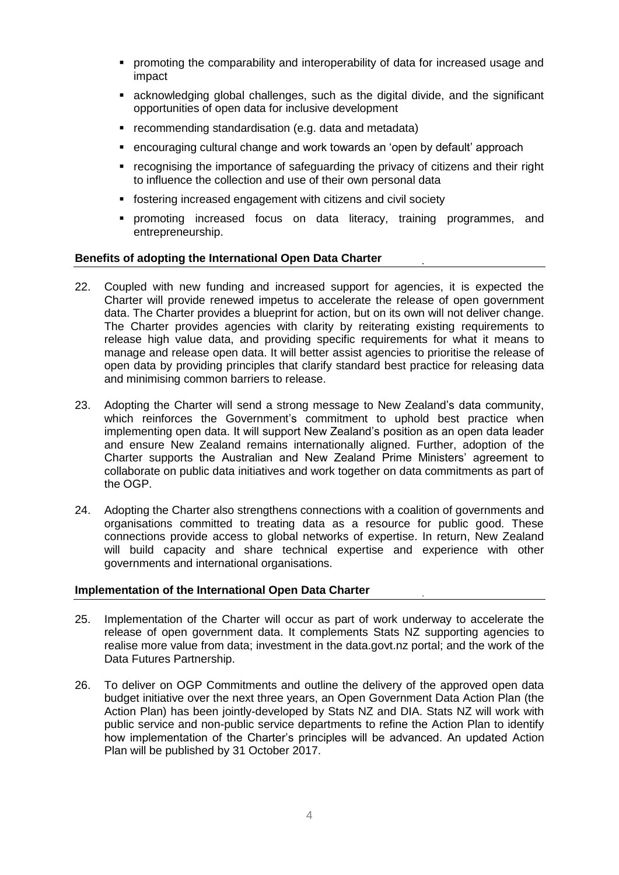- promoting the comparability and interoperability of data for increased usage and impact
- acknowledging global challenges, such as the digital divide, and the significant opportunities of open data for inclusive development
- **•** recommending standardisation (e.g. data and metadata)
- encouraging cultural change and work towards an 'open by default' approach
- recognising the importance of safeguarding the privacy of citizens and their right to influence the collection and use of their own personal data
- fostering increased engagement with citizens and civil society
- promoting increased focus on data literacy, training programmes, and entrepreneurship.

#### **Benefits of adopting the International Open Data Charter**

- 22. Coupled with new funding and increased support for agencies, it is expected the Charter will provide renewed impetus to accelerate the release of open government data. The Charter provides a blueprint for action, but on its own will not deliver change. The Charter provides agencies with clarity by reiterating existing requirements to release high value data, and providing specific requirements for what it means to manage and release open data. It will better assist agencies to prioritise the release of open data by providing principles that clarify standard best practice for releasing data and minimising common barriers to release.
- 23. Adopting the Charter will send a strong message to New Zealand's data community, which reinforces the Government's commitment to uphold best practice when implementing open data. It will support New Zealand's position as an open data leader and ensure New Zealand remains internationally aligned. Further, adoption of the Charter supports the Australian and New Zealand Prime Ministers' agreement to collaborate on public data initiatives and work together on data commitments as part of the OGP.
- 24. Adopting the Charter also strengthens connections with a coalition of governments and organisations committed to treating data as a resource for public good. These connections provide access to global networks of expertise. In return, New Zealand will build capacity and share technical expertise and experience with other governments and international organisations.

#### **Implementation of the International Open Data Charter**

- 25. Implementation of the Charter will occur as part of work underway to accelerate the release of open government data. It complements Stats NZ supporting agencies to realise more value from data; investment in the data.govt.nz portal; and the work of the Data Futures Partnership.
- 26. To deliver on OGP Commitments and outline the delivery of the approved open data budget initiative over the next three years, an Open Government Data Action Plan (the Action Plan) has been jointly-developed by Stats NZ and DIA. Stats NZ will work with public service and non-public service departments to refine the Action Plan to identify how implementation of the Charter's principles will be advanced. An updated Action Plan will be published by 31 October 2017.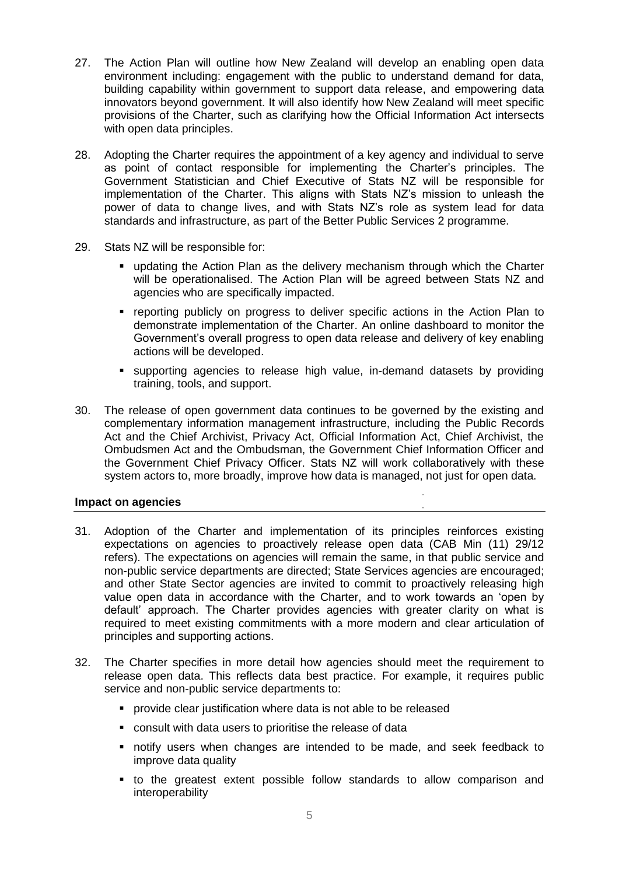- 27. The Action Plan will outline how New Zealand will develop an enabling open data environment including: engagement with the public to understand demand for data, building capability within government to support data release, and empowering data innovators beyond government. It will also identify how New Zealand will meet specific provisions of the Charter, such as clarifying how the Official Information Act intersects with open data principles.
- 28. Adopting the Charter requires the appointment of a key agency and individual to serve as point of contact responsible for implementing the Charter's principles. The Government Statistician and Chief Executive of Stats NZ will be responsible for implementation of the Charter. This aligns with Stats NZ's mission to unleash the power of data to change lives, and with Stats NZ's role as system lead for data standards and infrastructure, as part of the Better Public Services 2 programme.
- 29. Stats NZ will be responsible for:
	- updating the Action Plan as the delivery mechanism through which the Charter will be operationalised. The Action Plan will be agreed between Stats NZ and agencies who are specifically impacted.
	- reporting publicly on progress to deliver specific actions in the Action Plan to demonstrate implementation of the Charter. An online dashboard to monitor the Government's overall progress to open data release and delivery of key enabling actions will be developed.
	- supporting agencies to release high value, in-demand datasets by providing training, tools, and support.
- 30. The release of open government data continues to be governed by the existing and complementary information management infrastructure, including the Public Records Act and the Chief Archivist, Privacy Act, Official Information Act, Chief Archivist, the Ombudsmen Act and the Ombudsman, the Government Chief Information Officer and the Government Chief Privacy Officer. Stats NZ will work collaboratively with these system actors to, more broadly, improve how data is managed, not just for open data.

#### **Impact on agencies**

- 31. Adoption of the Charter and implementation of its principles reinforces existing expectations on agencies to proactively release open data (CAB Min (11) 29/12 refers). The expectations on agencies will remain the same, in that public service and non-public service departments are directed; State Services agencies are encouraged; and other State Sector agencies are invited to commit to proactively releasing high value open data in accordance with the Charter, and to work towards an 'open by default' approach. The Charter provides agencies with greater clarity on what is required to meet existing commitments with a more modern and clear articulation of principles and supporting actions.
- 32. The Charter specifies in more detail how agencies should meet the requirement to release open data. This reflects data best practice. For example, it requires public service and non-public service departments to:
	- **P** provide clear justification where data is not able to be released
	- consult with data users to prioritise the release of data
	- notify users when changes are intended to be made, and seek feedback to improve data quality
	- to the greatest extent possible follow standards to allow comparison and interoperability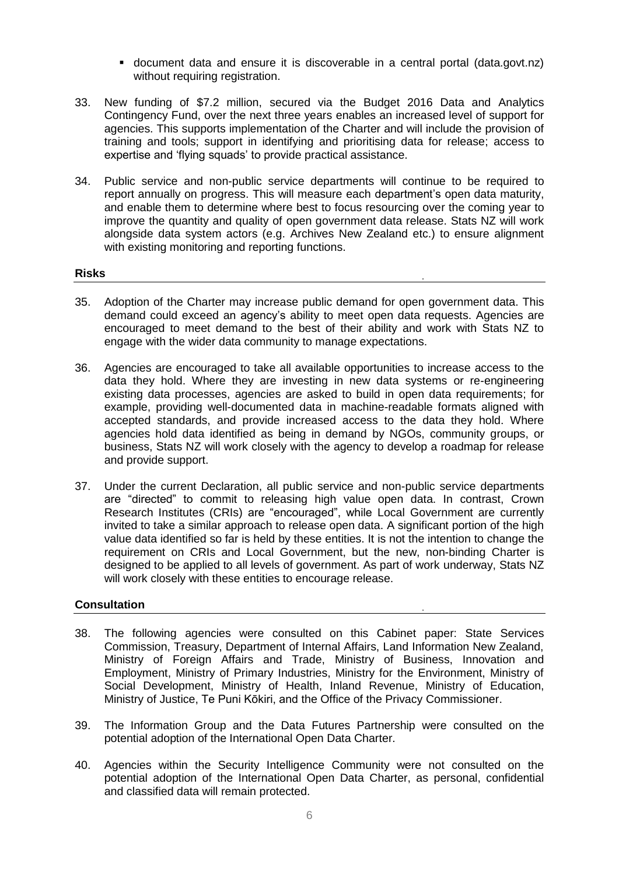- document data and ensure it is discoverable in a central portal (data.govt.nz) without requiring registration.
- 33. New funding of \$7.2 million, secured via the Budget 2016 Data and Analytics Contingency Fund, over the next three years enables an increased level of support for agencies. This supports implementation of the Charter and will include the provision of training and tools; support in identifying and prioritising data for release; access to expertise and 'flying squads' to provide practical assistance.
- 34. Public service and non-public service departments will continue to be required to report annually on progress. This will measure each department's open data maturity, and enable them to determine where best to focus resourcing over the coming year to improve the quantity and quality of open government data release. Stats NZ will work alongside data system actors (e.g. Archives New Zealand etc.) to ensure alignment with existing monitoring and reporting functions.

### **Risks**

- 35. Adoption of the Charter may increase public demand for open government data. This demand could exceed an agency's ability to meet open data requests. Agencies are encouraged to meet demand to the best of their ability and work with Stats NZ to engage with the wider data community to manage expectations.
- 36. Agencies are encouraged to take all available opportunities to increase access to the data they hold. Where they are investing in new data systems or re-engineering existing data processes, agencies are asked to build in open data requirements; for example, providing well-documented data in machine-readable formats aligned with accepted standards, and provide increased access to the data they hold. Where agencies hold data identified as being in demand by NGOs, community groups, or business, Stats NZ will work closely with the agency to develop a roadmap for release and provide support.
- 37. Under the current Declaration, all public service and non-public service departments are "directed" to commit to releasing high value open data. In contrast, Crown Research Institutes (CRIs) are "encouraged", while Local Government are currently invited to take a similar approach to release open data. A significant portion of the high value data identified so far is held by these entities. It is not the intention to change the requirement on CRIs and Local Government, but the new, non-binding Charter is designed to be applied to all levels of government. As part of work underway, Stats NZ will work closely with these entities to encourage release.

#### **Consultation**

- 38. The following agencies were consulted on this Cabinet paper: State Services Commission, Treasury, Department of Internal Affairs, Land Information New Zealand, Ministry of Foreign Affairs and Trade, Ministry of Business, Innovation and Employment, Ministry of Primary Industries, Ministry for the Environment, Ministry of Social Development, Ministry of Health, Inland Revenue, Ministry of Education, Ministry of Justice, Te Puni Kōkiri, and the Office of the Privacy Commissioner.
- 39. The Information Group and the Data Futures Partnership were consulted on the potential adoption of the International Open Data Charter.
- 40. Agencies within the Security Intelligence Community were not consulted on the potential adoption of the International Open Data Charter, as personal, confidential and classified data will remain protected.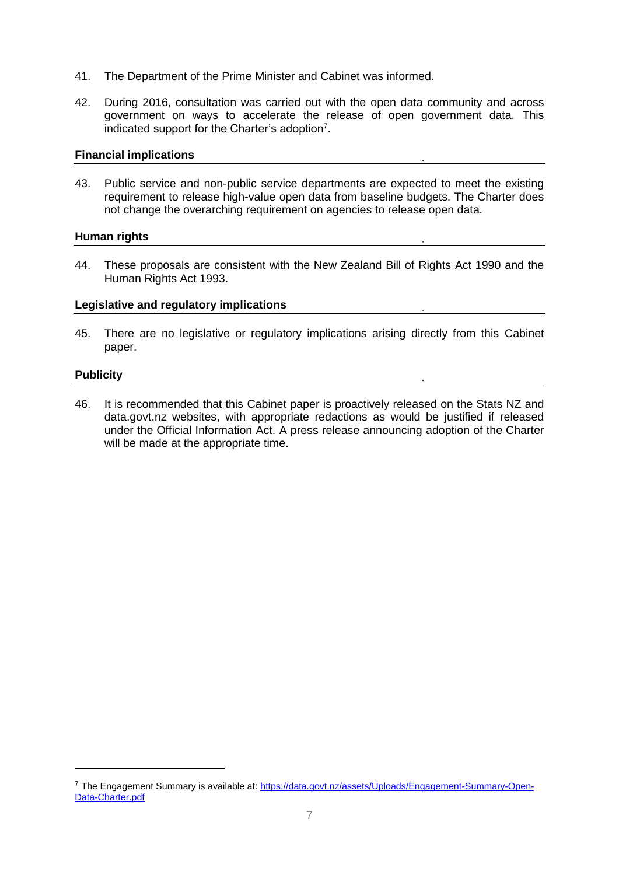- 41. The Department of the Prime Minister and Cabinet was informed.
- 42. During 2016, consultation was carried out with the open data community and across government on ways to accelerate the release of open government data. This indicated support for the Charter's adoption<sup>7</sup>.

## **Financial implications**

43. Public service and non-public service departments are expected to meet the existing requirement to release high-value open data from baseline budgets. The Charter does not change the overarching requirement on agencies to release open data.

## **Human rights**

44. These proposals are consistent with the New Zealand Bill of Rights Act 1990 and the Human Rights Act 1993.

## **Legislative and regulatory implications**

45. There are no legislative or regulatory implications arising directly from this Cabinet paper.

## **Publicity**

-

46. It is recommended that this Cabinet paper is proactively released on the Stats NZ and data.govt.nz websites, with appropriate redactions as would be justified if released under the Official Information Act. A press release announcing adoption of the Charter will be made at the appropriate time.

<sup>7</sup> The Engagement Summary is available at: [https://data.govt.nz/assets/Uploads/Engagement-Summary-Open-](https://data.govt.nz/assets/Uploads/Engagement-Summary-Open-Data-Charter.pdf)[Data-Charter.pdf](https://data.govt.nz/assets/Uploads/Engagement-Summary-Open-Data-Charter.pdf)